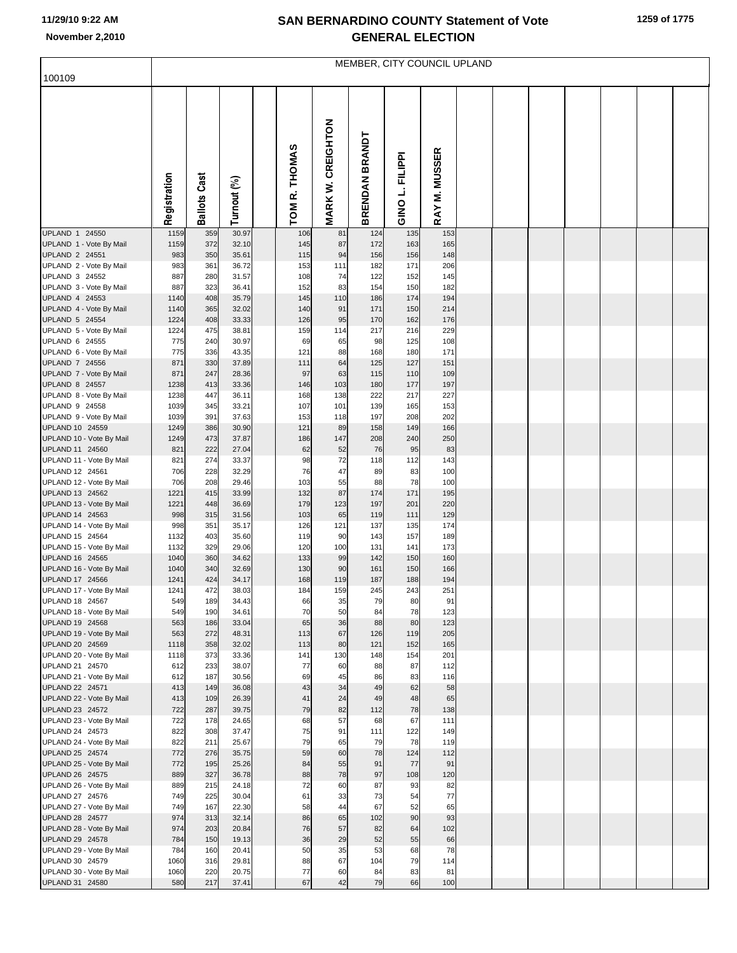## **SAN BERNARDINO COUNTY Statement of Vote November 2,2010 GENERAL ELECTION**

|  |  | 1259 of 1775 |
|--|--|--------------|
|--|--|--------------|

|                                             | MEMBER, CITY COUNCIL UPLAND |                     |                |  |               |                          |                |                    |               |  |  |  |  |  |
|---------------------------------------------|-----------------------------|---------------------|----------------|--|---------------|--------------------------|----------------|--------------------|---------------|--|--|--|--|--|
| 100109                                      |                             |                     |                |  |               |                          |                |                    |               |  |  |  |  |  |
|                                             | Registration                | <b>Ballots Cast</b> | Turnout (%)    |  | TOM R. THOMAS | <b>MARK W. CREIGHTON</b> | BRENDAN BRANDT | FILIPPI<br>GINO L. | RAY M. MUSSER |  |  |  |  |  |
| UPLAND 1 24550                              | 1159                        | 359                 | 30.97          |  | 106           | 81                       | 124            | 135                | 153           |  |  |  |  |  |
| UPLAND 1 - Vote By Mail                     | 1159                        | 372                 | 32.10          |  | 145           | 87                       | 172            | 163                | 165           |  |  |  |  |  |
| UPLAND 2 24551<br>UPLAND 2 - Vote By Mail   | 983<br>983                  | 350<br>361          | 35.61<br>36.72 |  | 115<br>153    | 94<br>111                | 156<br>182     | 156<br>171         | 148<br>206    |  |  |  |  |  |
| UPLAND 3 24552                              | 887                         | 280                 | 31.57          |  | 108           | 74                       | 122            | 152                | 145           |  |  |  |  |  |
| UPLAND 3 - Vote By Mail                     | 887                         | 323                 | 36.41          |  | 152           | 83                       | 154            | 150                | 182           |  |  |  |  |  |
| UPLAND 4 24553                              | 1140                        | 408                 | 35.79          |  | 145           | 110<br>91                | 186            | 174                | 194           |  |  |  |  |  |
| UPLAND 4 - Vote By Mail<br>UPLAND 5 24554   | 1140<br>1224                | 365<br>408          | 32.02<br>33.33 |  | 140<br>126    | 95                       | 171<br>170     | 150<br>162         | 214<br>176    |  |  |  |  |  |
| UPLAND 5 - Vote By Mail                     | 1224                        | 475                 | 38.81          |  | 159           | 114                      | 217            | 216                | 229           |  |  |  |  |  |
| UPLAND 6 24555                              | 775                         | 240                 | 30.97          |  | 69            | 65                       | 98             | 125                | 108           |  |  |  |  |  |
| UPLAND 6 - Vote By Mail<br>UPLAND 7 24556   | 775<br>871                  | 336<br>330          | 43.35<br>37.89 |  | 121<br>111    | 88<br>64                 | 168<br>125     | 180<br>127         | 171<br>151    |  |  |  |  |  |
| UPLAND 7 - Vote By Mail                     | 871                         | 247                 | 28.36          |  | 97            | 63                       | 115            | 110                | 109           |  |  |  |  |  |
| <b>UPLAND 8 24557</b>                       | 1238                        | 413                 | 33.36          |  | 146           | 103                      | 180            | 177                | 197           |  |  |  |  |  |
| UPLAND 8 - Vote By Mail                     | 1238                        | 447                 | 36.11          |  | 168           | 138                      | 222            | 217                | 227           |  |  |  |  |  |
| UPLAND 9 24558<br>UPLAND 9 - Vote By Mail   | 1039<br>1039                | 345<br>391          | 33.21<br>37.63 |  | 107<br>153    | 101<br>118               | 139<br>197     | 165<br>208         | 153<br>202    |  |  |  |  |  |
| UPLAND 10 24559                             | 1249                        | 386                 | 30.90          |  | 121           | 89                       | 158            | 149                | 166           |  |  |  |  |  |
| UPLAND 10 - Vote By Mail                    | 1249                        | 473                 | 37.87          |  | 186           | 147                      | 208            | 240                | 250           |  |  |  |  |  |
| UPLAND 11 24560                             | 821<br>821                  | 222<br>274          | 27.04<br>33.37 |  | 62<br>98      | 52<br>72                 | 76<br>118      | 95<br>112          | 83<br>143     |  |  |  |  |  |
| UPLAND 11 - Vote By Mail<br>UPLAND 12 24561 | 706                         | 228                 | 32.29          |  | 76            | 47                       | 89             | 83                 | 100           |  |  |  |  |  |
| UPLAND 12 - Vote By Mail                    | 706                         | 208                 | 29.46          |  | 103           | 55                       | 88             | 78                 | 100           |  |  |  |  |  |
| UPLAND 13 24562                             | 1221                        | 415                 | 33.99          |  | 132<br>179    | 87                       | 174            | 171                | 195           |  |  |  |  |  |
| UPLAND 13 - Vote By Mail<br>UPLAND 14 24563 | 1221<br>998                 | 448<br>315          | 36.69<br>31.56 |  | 103           | 123<br>65                | 197<br>119     | 201<br>111         | 220<br>129    |  |  |  |  |  |
| UPLAND 14 - Vote By Mail                    | 998                         | 351                 | 35.17          |  | 126           | 121                      | 137            | 135                | 174           |  |  |  |  |  |
| UPLAND 15 24564                             | 1132                        | 403                 | 35.60          |  | 119           | 90                       | 143            | 157                | 189           |  |  |  |  |  |
| UPLAND 15 - Vote By Mail<br>UPLAND 16 24565 | 1132<br>1040                | 329<br>360          | 29.06<br>34.62 |  | 120<br>133    | 100<br>99                | 131<br>142     | 141<br>150         | 173<br>160    |  |  |  |  |  |
| UPLAND 16 - Vote By Mail                    | 1040                        | 340                 | 32.69          |  | 130           | 90                       | 161            | 150                | 166           |  |  |  |  |  |
| UPLAND 17 24566                             | 1241                        | 424                 | 34.17          |  | 168           | 119                      | 187            | 188                | 194           |  |  |  |  |  |
| UPLAND 17 - Vote By Mail<br>UPLAND 18 24567 | 1241<br>549                 | 472<br>189          | 38.03<br>34.43 |  | 184<br>66     | 159<br>35                | 245<br>79      | 243<br>80          | 251<br>91     |  |  |  |  |  |
| UPLAND 18 - Vote By Mail                    | 549                         | 190                 | 34.61          |  | 70            | 50                       | 84             | 78                 | 123           |  |  |  |  |  |
| UPLAND 19 24568                             | 563                         | 186                 | 33.04          |  | 65            | 36                       | 88             | 80                 | 123           |  |  |  |  |  |
| UPLAND 19 - Vote By Mail                    | 563                         | 272                 | 48.31<br>32.02 |  | 113           | 67<br>80                 | 126<br>121     | 119                | 205           |  |  |  |  |  |
| UPLAND 20 24569<br>UPLAND 20 - Vote By Mail | 1118<br>1118                | 358<br>373          | 33.36          |  | 113<br>141    | 130                      | 148            | 152<br>154         | 165<br>201    |  |  |  |  |  |
| UPLAND 21 24570                             | 612                         | 233                 | 38.07          |  | 77            | 60                       | 88             | 87                 | 112           |  |  |  |  |  |
| UPLAND 21 - Vote By Mail                    | 612                         | 187                 | 30.56          |  | 69            | 45                       | 86             | 83                 | 116           |  |  |  |  |  |
| UPLAND 22 24571<br>UPLAND 22 - Vote By Mail | 413<br>413                  | 149<br>109          | 36.08<br>26.39 |  | 43<br>41      | 34<br>24                 | 49<br>49       | 62<br>48           | 58<br>65      |  |  |  |  |  |
| UPLAND 23 24572                             | 722                         | 287                 | 39.75          |  | 79            | 82                       | 112            | 78                 | 138           |  |  |  |  |  |
| UPLAND 23 - Vote By Mail                    | 722                         | 178                 | 24.65          |  | 68            | 57                       | 68             | 67                 | 111           |  |  |  |  |  |
| UPLAND 24 24573                             | 822                         | 308                 | 37.47          |  | 75            | 91                       | 111            | 122                | 149           |  |  |  |  |  |
| UPLAND 24 - Vote By Mail<br>UPLAND 25 24574 | 822<br>772                  | 211<br>276          | 25.67<br>35.75 |  | 79<br>59      | 65<br>60                 | 79<br>78       | 78<br>124          | 119<br>112    |  |  |  |  |  |
| UPLAND 25 - Vote By Mail                    | 772                         | 195                 | 25.26          |  | 84            | 55                       | 91             | 77                 | 91            |  |  |  |  |  |
| UPLAND 26 24575                             | 889                         | 327                 | 36.78          |  | 88            | 78                       | 97             | 108                | 120           |  |  |  |  |  |
| UPLAND 26 - Vote By Mail<br>UPLAND 27 24576 | 889<br>749                  | 215<br>225          | 24.18<br>30.04 |  | 72<br>61      | 60<br>33                 | 87<br>73       | 93<br>54           | 82<br>77      |  |  |  |  |  |
| UPLAND 27 - Vote By Mail                    | 749                         | 167                 | 22.30          |  | 58            | 44                       | 67             | 52                 | 65            |  |  |  |  |  |
| UPLAND 28 24577                             | 974                         | 313                 | 32.14          |  | 86            | 65                       | 102            | 90                 | 93            |  |  |  |  |  |
| UPLAND 28 - Vote By Mail                    | 974                         | 203                 | 20.84          |  | 76            | 57                       | 82             | 64                 | 102           |  |  |  |  |  |
| UPLAND 29 24578<br>UPLAND 29 - Vote By Mail | 784<br>784                  | 150<br>160          | 19.13<br>20.41 |  | 36<br>50      | 29<br>35                 | 52<br>53       | 55<br>68           | 66<br>78      |  |  |  |  |  |
| UPLAND 30 24579                             | 1060                        | 316                 | 29.81          |  | 88            | 67                       | 104            | 79                 | 114           |  |  |  |  |  |
| UPLAND 30 - Vote By Mail                    | 1060                        | 220                 | 20.75          |  | 77            | 60                       | 84             | 83                 | 81            |  |  |  |  |  |
| UPLAND 31 24580                             | 580                         | 217                 | 37.41          |  | 67            | 42                       | 79             | 66                 | 100           |  |  |  |  |  |